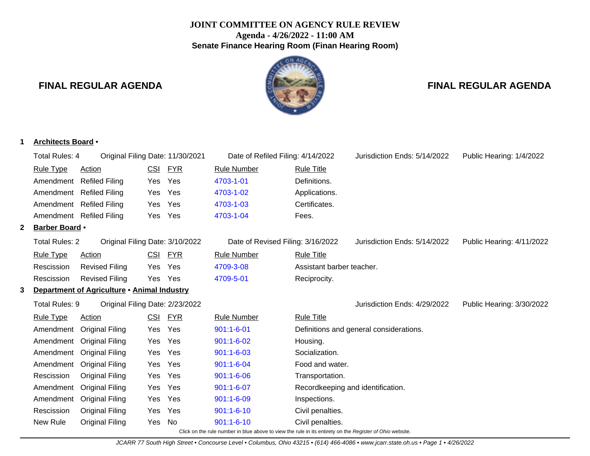# **JOINT COMMITTEE ON AGENCY RULE REVIEW Agenda - 4/26/2022 - 11:00 AM Senate Finance Hearing Room (Finan Hearing Room)**

ON AG

# **FINAL REGULAR AGENDA FINAL REGULAR AGENDA**

## **1 Architects Board** •

|   | Total Rules: 4        | Original Filing Date: 11/30/2021            |            |            | Date of Refiled Filing: 4/14/2022                                                                        |                                   | Jurisdiction Ends: 5/14/2022            | Public Hearing: 1/4/2022  |
|---|-----------------------|---------------------------------------------|------------|------------|----------------------------------------------------------------------------------------------------------|-----------------------------------|-----------------------------------------|---------------------------|
|   | <b>Rule Type</b>      | <b>Action</b>                               |            | CSI FYR    | <b>Rule Number</b>                                                                                       | <b>Rule Title</b>                 |                                         |                           |
|   | Amendment             | <b>Refiled Filing</b>                       | Yes        | Yes        | 4703-1-01                                                                                                | Definitions.                      |                                         |                           |
|   | Amendment             | <b>Refiled Filing</b>                       | Yes        | Yes        | 4703-1-02                                                                                                | Applications.                     |                                         |                           |
|   |                       | Amendment Refiled Filing                    | Yes        | Yes        | 4703-1-03                                                                                                | Certificates.                     |                                         |                           |
|   |                       | Amendment Refiled Filing                    | Yes        | Yes        | 4703-1-04                                                                                                | Fees.                             |                                         |                           |
| 2 | <b>Barber Board</b> • |                                             |            |            |                                                                                                          |                                   |                                         |                           |
|   | <b>Total Rules: 2</b> | Original Filing Date: 3/10/2022             |            |            | Date of Revised Filing: 3/16/2022                                                                        |                                   | Jurisdiction Ends: 5/14/2022            | Public Hearing: 4/11/2022 |
|   | <b>Rule Type</b>      | <b>Action</b>                               | <u>CSI</u> | <u>FYR</u> | <b>Rule Number</b>                                                                                       | <b>Rule Title</b>                 |                                         |                           |
|   | Rescission            | <b>Revised Filing</b>                       | Yes        | Yes        | 4709-3-08                                                                                                | Assistant barber teacher.         |                                         |                           |
|   | Rescission            | <b>Revised Filing</b>                       |            | Yes Yes    | 4709-5-01                                                                                                | Reciprocity.                      |                                         |                           |
| 3 |                       | Department of Agriculture . Animal Industry |            |            |                                                                                                          |                                   |                                         |                           |
|   | Total Rules: 9        | Original Filing Date: 2/23/2022             |            |            |                                                                                                          |                                   | Jurisdiction Ends: 4/29/2022            | Public Hearing: 3/30/2022 |
|   | <b>Rule Type</b>      | Action                                      | <u>CSI</u> | <u>FYR</u> | <b>Rule Number</b>                                                                                       | <b>Rule Title</b>                 |                                         |                           |
|   | Amendment             | <b>Original Filing</b>                      | Yes        | Yes        | $901:1 - 6 - 01$                                                                                         |                                   | Definitions and general considerations. |                           |
|   | Amendment             | <b>Original Filing</b>                      | Yes        | Yes        | $901:1 - 6 - 02$                                                                                         | Housing.                          |                                         |                           |
|   | Amendment             | <b>Original Filing</b>                      | Yes        | Yes        | $901:1 - 6 - 03$                                                                                         | Socialization.                    |                                         |                           |
|   | Amendment             | <b>Original Filing</b>                      | Yes        | Yes        | $901:1 - 6 - 04$                                                                                         | Food and water.                   |                                         |                           |
|   | Rescission            | <b>Original Filing</b>                      | Yes        | Yes        | $901:1 - 6 - 06$                                                                                         | Transportation.                   |                                         |                           |
|   | Amendment             | <b>Original Filing</b>                      | Yes        | Yes        | $901:1 - 6 - 07$                                                                                         | Recordkeeping and identification. |                                         |                           |
|   | Amendment             | <b>Original Filing</b>                      | Yes        | Yes        | $901:1 - 6 - 09$                                                                                         | Inspections.                      |                                         |                           |
|   | Rescission            | <b>Original Filing</b>                      | Yes        | Yes        | $901:1 - 6 - 10$                                                                                         | Civil penalties.                  |                                         |                           |
|   | New Rule              | <b>Original Filing</b>                      | Yes        | No         | $901:1 - 6 - 10$                                                                                         | Civil penalties.                  |                                         |                           |
|   |                       |                                             |            |            | Click on the rule number in blue above to view the rule in its entirety on the Register of Ohio website. |                                   |                                         |                           |

JCARR 77 South High Street • Concourse Level • Columbus, Ohio 43215 • (614) 466-4086 • www.jcarr.state.oh.us • Page 1 • 4/26/2022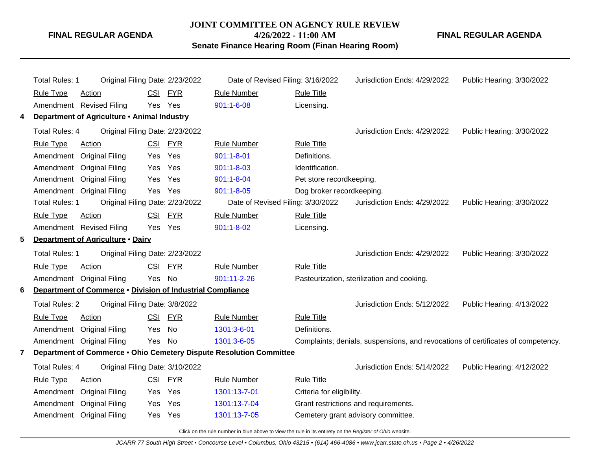#### **JOINT COMMITTEE ON AGENCY RULE REVIEW**

**4/26/2022 - 11:00 AM**

**Senate Finance Hearing Room (Finan Hearing Room)**

**FINAL REGULAR AGENDA**

|   | Total Rules: 1                                                      | Original Filing Date: 2/23/2022 | Date of Revised Filing: 3/16/2022 |                           | Jurisdiction Ends: 4/29/2022                                                     | Public Hearing: 3/30/2022 |
|---|---------------------------------------------------------------------|---------------------------------|-----------------------------------|---------------------------|----------------------------------------------------------------------------------|---------------------------|
|   | <b>Rule Type</b><br><b>Action</b>                                   | CSI FYR                         | <b>Rule Number</b>                | <b>Rule Title</b>         |                                                                                  |                           |
|   | Amendment Revised Filing                                            | Yes Yes                         | $901:1 - 6 - 08$                  | Licensing.                |                                                                                  |                           |
| 4 | Department of Agriculture . Animal Industry                         |                                 |                                   |                           |                                                                                  |                           |
|   | <b>Total Rules: 4</b>                                               | Original Filing Date: 2/23/2022 |                                   |                           | Jurisdiction Ends: 4/29/2022                                                     | Public Hearing: 3/30/2022 |
|   | <b>Rule Type</b><br><b>Action</b>                                   | CSI FYR                         | <b>Rule Number</b>                | <b>Rule Title</b>         |                                                                                  |                           |
|   | <b>Original Filing</b><br>Amendment                                 | Yes<br>Yes                      | $901:1 - 8 - 01$                  | Definitions.              |                                                                                  |                           |
|   | Amendment<br><b>Original Filing</b>                                 | Yes<br>Yes                      | $901:1 - 8 - 03$                  | Identification.           |                                                                                  |                           |
|   | Amendment<br><b>Original Filing</b>                                 | Yes<br>Yes                      | $901:1 - 8 - 04$                  | Pet store recordkeeping.  |                                                                                  |                           |
|   | Amendment Original Filing                                           | Yes Yes                         | $901:1 - 8 - 05$                  | Dog broker recordkeeping. |                                                                                  |                           |
|   | <b>Total Rules: 1</b>                                               | Original Filing Date: 2/23/2022 | Date of Revised Filing: 3/30/2022 |                           | Jurisdiction Ends: 4/29/2022                                                     | Public Hearing: 3/30/2022 |
|   | <b>Rule Type</b><br>Action                                          | <u>FYR</u><br><u>CSI</u>        | <b>Rule Number</b>                | <b>Rule Title</b>         |                                                                                  |                           |
|   | Amendment Revised Filing                                            | Yes Yes                         | $901:1 - 8 - 02$                  | Licensing.                |                                                                                  |                           |
| 5 | Department of Agriculture . Dairy                                   |                                 |                                   |                           |                                                                                  |                           |
|   | Total Rules: 1                                                      | Original Filing Date: 2/23/2022 |                                   |                           | Jurisdiction Ends: 4/29/2022                                                     | Public Hearing: 3/30/2022 |
|   | <b>Rule Type</b><br><b>Action</b>                                   | <b>CSI</b><br><b>FYR</b>        | <b>Rule Number</b>                | <b>Rule Title</b>         |                                                                                  |                           |
|   | Amendment Original Filing                                           | Yes<br>No                       | 901:11-2-26                       |                           | Pasteurization, sterilization and cooking.                                       |                           |
| 6 | Department of Commerce . Division of Industrial Compliance          |                                 |                                   |                           |                                                                                  |                           |
|   | <b>Total Rules: 2</b>                                               | Original Filing Date: 3/8/2022  |                                   |                           | Jurisdiction Ends: 5/12/2022                                                     | Public Hearing: 4/13/2022 |
|   | <b>Rule Type</b><br><b>Action</b>                                   | CSI FYR                         | <b>Rule Number</b>                | <b>Rule Title</b>         |                                                                                  |                           |
|   | Amendment<br><b>Original Filing</b>                                 | No<br>Yes                       | 1301:3-6-01                       | Definitions.              |                                                                                  |                           |
|   | Amendment Original Filing                                           | No<br>Yes                       | 1301:3-6-05                       |                           | Complaints; denials, suspensions, and revocations of certificates of competency. |                           |
| 7 | Department of Commerce . Ohio Cemetery Dispute Resolution Committee |                                 |                                   |                           |                                                                                  |                           |
|   | Total Rules: 4                                                      | Original Filing Date: 3/10/2022 |                                   |                           | Jurisdiction Ends: 5/14/2022                                                     | Public Hearing: 4/12/2022 |
|   | <b>Rule Type</b><br>Action                                          | CSI<br><b>FYR</b>               | <b>Rule Number</b>                | <b>Rule Title</b>         |                                                                                  |                           |
|   | Amendment<br><b>Original Filing</b>                                 | Yes<br>Yes.                     | 1301:13-7-01                      | Criteria for eligibility. |                                                                                  |                           |
|   | Amendment<br><b>Original Filing</b>                                 | Yes<br>Yes                      | 1301:13-7-04                      |                           | Grant restrictions and requirements.                                             |                           |
|   | Amendment Original Filing                                           | Yes<br>Yes                      | 1301:13-7-05                      |                           | Cemetery grant advisory committee.                                               |                           |
|   |                                                                     |                                 |                                   |                           |                                                                                  |                           |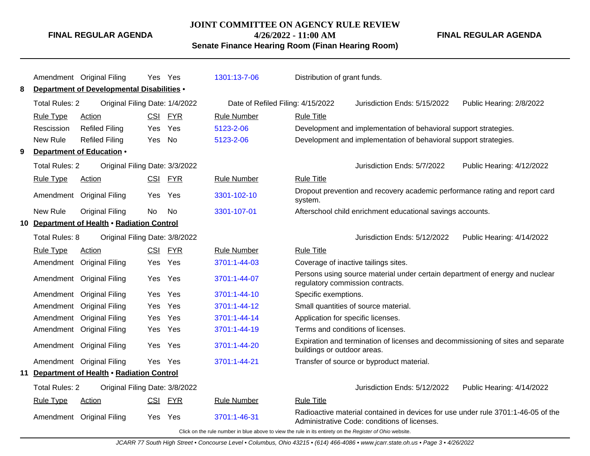### **JOINT COMMITTEE ON AGENCY RULE REVIEW 4/26/2022 - 11:00 AM**

**FINAL REGULAR AGENDA**

**Senate Finance Hearing Room (Finan Hearing Room)**

|    |                                                                                                                                     | Amendment Original Filing                         |            | Yes Yes    | 1301:13-7-06                                             | Distribution of grant funds.                                                                                                     |  |  |  |
|----|-------------------------------------------------------------------------------------------------------------------------------------|---------------------------------------------------|------------|------------|----------------------------------------------------------|----------------------------------------------------------------------------------------------------------------------------------|--|--|--|
| 8  |                                                                                                                                     | <b>Department of Developmental Disabilities •</b> |            |            |                                                          |                                                                                                                                  |  |  |  |
|    | <b>Total Rules: 2</b>                                                                                                               | Original Filing Date: 1/4/2022                    |            |            | Date of Refiled Filing: 4/15/2022                        | Jurisdiction Ends: 5/15/2022<br>Public Hearing: 2/8/2022                                                                         |  |  |  |
|    | <b>Rule Type</b>                                                                                                                    | <b>Action</b>                                     |            | CSI FYR    | <b>Rule Number</b>                                       | <b>Rule Title</b>                                                                                                                |  |  |  |
|    | Rescission                                                                                                                          | <b>Refiled Filing</b>                             | Yes        | Yes        | 5123-2-06                                                | Development and implementation of behavioral support strategies.                                                                 |  |  |  |
|    | New Rule                                                                                                                            | <b>Refiled Filing</b>                             | Yes        | <b>No</b>  | 5123-2-06                                                | Development and implementation of behavioral support strategies.                                                                 |  |  |  |
| 9  |                                                                                                                                     | Department of Education .                         |            |            |                                                          |                                                                                                                                  |  |  |  |
|    | <b>Total Rules: 2</b>                                                                                                               | Original Filing Date: 3/3/2022                    |            |            | Public Hearing: 4/12/2022<br>Jurisdiction Ends: 5/7/2022 |                                                                                                                                  |  |  |  |
|    | <b>Rule Type</b>                                                                                                                    | <b>Action</b>                                     | <b>CSI</b> | <u>FYR</u> | <b>Rule Number</b>                                       | <b>Rule Title</b>                                                                                                                |  |  |  |
|    |                                                                                                                                     | Amendment Original Filing                         | Yes        | Yes        | 3301-102-10                                              | Dropout prevention and recovery academic performance rating and report card<br>system.                                           |  |  |  |
|    | New Rule<br><b>Original Filing</b><br><b>No</b><br>No.<br>3301-107-01<br>Afterschool child enrichment educational savings accounts. |                                                   |            |            |                                                          |                                                                                                                                  |  |  |  |
| 10 |                                                                                                                                     | Department of Health . Radiation Control          |            |            |                                                          |                                                                                                                                  |  |  |  |
|    | Total Rules: 8<br>Original Filing Date: 3/8/2022                                                                                    |                                                   |            |            |                                                          | Jurisdiction Ends: 5/12/2022<br>Public Hearing: 4/14/2022                                                                        |  |  |  |
|    | <b>Rule Type</b>                                                                                                                    | Action                                            | CSI        | <b>FYR</b> | <b>Rule Number</b>                                       | <b>Rule Title</b>                                                                                                                |  |  |  |
|    | Amendment                                                                                                                           | <b>Original Filing</b>                            | Yes        | Yes        | 3701:1-44-03                                             | Coverage of inactive tailings sites.                                                                                             |  |  |  |
|    |                                                                                                                                     | Amendment Original Filing                         | Yes        | Yes        | 3701:1-44-07                                             | Persons using source material under certain department of energy and nuclear<br>regulatory commission contracts.                 |  |  |  |
|    | Amendment                                                                                                                           | <b>Original Filing</b>                            | Yes        | Yes        | 3701:1-44-10                                             | Specific exemptions.                                                                                                             |  |  |  |
|    | Amendment                                                                                                                           | <b>Original Filing</b>                            | Yes        | Yes        | 3701:1-44-12                                             | Small quantities of source material.                                                                                             |  |  |  |
|    | Amendment                                                                                                                           | <b>Original Filing</b>                            | Yes        | Yes        | 3701:1-44-14                                             | Application for specific licenses.                                                                                               |  |  |  |
|    |                                                                                                                                     | Amendment Original Filing                         | Yes        | Yes        | 3701:1-44-19                                             | Terms and conditions of licenses.                                                                                                |  |  |  |
|    |                                                                                                                                     | Amendment Original Filing                         | Yes        | Yes        | 3701:1-44-20                                             | Expiration and termination of licenses and decommissioning of sites and separate<br>buildings or outdoor areas.                  |  |  |  |
|    |                                                                                                                                     | Amendment Original Filing                         | Yes        | Yes        | 3701:1-44-21                                             | Transfer of source or byproduct material.                                                                                        |  |  |  |
| 11 |                                                                                                                                     | Department of Health . Radiation Control          |            |            |                                                          |                                                                                                                                  |  |  |  |
|    | <b>Total Rules: 2</b>                                                                                                               | Original Filing Date: 3/8/2022                    |            |            |                                                          | Jurisdiction Ends: 5/12/2022<br>Public Hearing: 4/14/2022                                                                        |  |  |  |
|    | <b>Rule Type</b>                                                                                                                    | <b>Action</b>                                     | CSI        | <u>FYR</u> | <b>Rule Number</b>                                       | <b>Rule Title</b>                                                                                                                |  |  |  |
|    |                                                                                                                                     | Amendment Original Filing                         |            | Yes Yes    | 3701:1-46-31                                             | Radioactive material contained in devices for use under rule 3701:1-46-05 of the<br>Administrative Code: conditions of licenses. |  |  |  |
|    | Click on the rule number in blue above to view the rule in its entirety on the Register of Ohio website.                            |                                                   |            |            |                                                          |                                                                                                                                  |  |  |  |

JCARR 77 South High Street • Concourse Level • Columbus, Ohio 43215 • (614) 466-4086 • www.jcarr.state.oh.us • Page 3 • 4/26/2022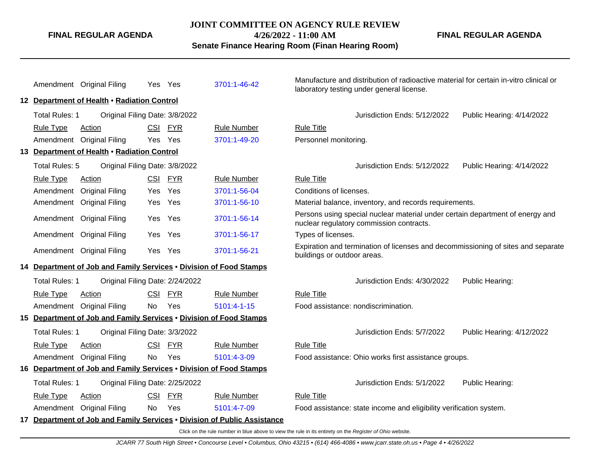#### **JOINT COMMITTEE ON AGENCY RULE REVIEW**

**4/26/2022 - 11:00 AM**

**Senate Finance Hearing Room (Finan Hearing Room)**

**FINAL REGULAR AGENDA**

|                                             | Amendment Original Filing                                          |            | Yes Yes    | 3701:1-46-42                                                             |                                                                                                                 | Manufacture and distribution of radioactive material for certain in-vitro clinical or<br>laboratory testing under general license. |                           |  |  |  |
|---------------------------------------------|--------------------------------------------------------------------|------------|------------|--------------------------------------------------------------------------|-----------------------------------------------------------------------------------------------------------------|------------------------------------------------------------------------------------------------------------------------------------|---------------------------|--|--|--|
| 12 Department of Health . Radiation Control |                                                                    |            |            |                                                                          |                                                                                                                 |                                                                                                                                    |                           |  |  |  |
| Total Rules: 1                              | Original Filing Date: 3/8/2022                                     |            |            |                                                                          |                                                                                                                 | Jurisdiction Ends: 5/12/2022                                                                                                       | Public Hearing: 4/14/2022 |  |  |  |
| <b>Rule Type</b>                            | Action                                                             | <b>CSI</b> | <b>FYR</b> | <b>Rule Number</b>                                                       | <b>Rule Title</b>                                                                                               |                                                                                                                                    |                           |  |  |  |
|                                             | Amendment Original Filing                                          | Yes        | Yes        | 3701:1-49-20                                                             | Personnel monitoring.                                                                                           |                                                                                                                                    |                           |  |  |  |
|                                             | 13 Department of Health . Radiation Control                        |            |            |                                                                          |                                                                                                                 |                                                                                                                                    |                           |  |  |  |
| Total Rules: 5                              | Original Filing Date: 3/8/2022                                     |            |            |                                                                          |                                                                                                                 | Jurisdiction Ends: 5/12/2022                                                                                                       | Public Hearing: 4/14/2022 |  |  |  |
| <b>Rule Type</b>                            | Action                                                             |            | CSI FYR    | <b>Rule Number</b>                                                       | <b>Rule Title</b>                                                                                               |                                                                                                                                    |                           |  |  |  |
| Amendment                                   | <b>Original Filing</b>                                             |            | Yes Yes    | 3701:1-56-04                                                             | Conditions of licenses.                                                                                         |                                                                                                                                    |                           |  |  |  |
| Amendment                                   | <b>Original Filing</b>                                             | Yes        | Yes        | 3701:1-56-10                                                             |                                                                                                                 | Material balance, inventory, and records requirements.                                                                             |                           |  |  |  |
|                                             | Amendment Original Filing                                          | Yes        | Yes        | 3701:1-56-14                                                             |                                                                                                                 | Persons using special nuclear material under certain department of energy and<br>nuclear regulatory commission contracts.          |                           |  |  |  |
|                                             | Amendment Original Filing                                          |            | Yes Yes    | 3701:1-56-17                                                             | Types of licenses.                                                                                              |                                                                                                                                    |                           |  |  |  |
|                                             | Amendment Original Filing                                          |            | Yes Yes    | 3701:1-56-21                                                             | Expiration and termination of licenses and decommissioning of sites and separate<br>buildings or outdoor areas. |                                                                                                                                    |                           |  |  |  |
|                                             | 14 Department of Job and Family Services . Division of Food Stamps |            |            |                                                                          |                                                                                                                 |                                                                                                                                    |                           |  |  |  |
| Total Rules: 1                              | Original Filing Date: 2/24/2022                                    |            |            |                                                                          |                                                                                                                 | Jurisdiction Ends: 4/30/2022                                                                                                       | Public Hearing:           |  |  |  |
| <b>Rule Type</b>                            | <b>Action</b>                                                      | <b>CSI</b> | <b>FYR</b> | <b>Rule Number</b>                                                       | <b>Rule Title</b>                                                                                               |                                                                                                                                    |                           |  |  |  |
|                                             | Amendment Original Filing                                          | <b>No</b>  | Yes        | 5101:4-1-15                                                              | Food assistance: nondiscrimination.                                                                             |                                                                                                                                    |                           |  |  |  |
|                                             | 15 Department of Job and Family Services . Division of Food Stamps |            |            |                                                                          |                                                                                                                 |                                                                                                                                    |                           |  |  |  |
| <b>Total Rules: 1</b>                       | Original Filing Date: 3/3/2022                                     |            |            |                                                                          |                                                                                                                 | Jurisdiction Ends: 5/7/2022                                                                                                        | Public Hearing: 4/12/2022 |  |  |  |
| <b>Rule Type</b>                            | Action                                                             | <b>CSI</b> | <b>FYR</b> | <b>Rule Number</b>                                                       | <b>Rule Title</b>                                                                                               |                                                                                                                                    |                           |  |  |  |
|                                             | Amendment Original Filing                                          | No         | Yes        | 5101:4-3-09                                                              |                                                                                                                 | Food assistance: Ohio works first assistance groups.                                                                               |                           |  |  |  |
|                                             | 16 Department of Job and Family Services . Division of Food Stamps |            |            |                                                                          |                                                                                                                 |                                                                                                                                    |                           |  |  |  |
| Total Rules: 1                              | Original Filing Date: 2/25/2022                                    |            |            |                                                                          |                                                                                                                 | Jurisdiction Ends: 5/1/2022                                                                                                        | Public Hearing:           |  |  |  |
| <b>Rule Type</b>                            | Action                                                             | <b>CSI</b> | <b>FYR</b> | <b>Rule Number</b>                                                       | <b>Rule Title</b>                                                                                               |                                                                                                                                    |                           |  |  |  |
|                                             | Amendment Original Filing                                          | <b>No</b>  | Yes        | 5101:4-7-09                                                              |                                                                                                                 | Food assistance: state income and eligibility verification system.                                                                 |                           |  |  |  |
|                                             |                                                                    |            |            | 17 Department of Job and Family Services . Division of Public Assistance |                                                                                                                 |                                                                                                                                    |                           |  |  |  |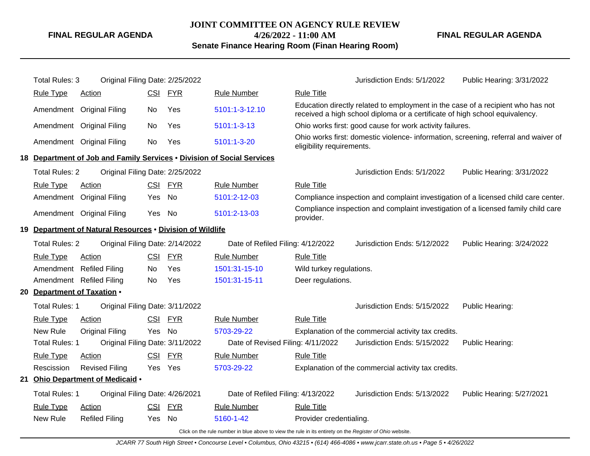**JOINT COMMITTEE ON AGENCY RULE REVIEW 4/26/2022 - 11:00 AM**

**Senate Finance Hearing Room (Finan Hearing Room)**

**FINAL REGULAR AGENDA**

|                                                                         | <b>Total Rules: 3</b>                                    | Original Filing Date: 2/25/2022                                        |            |            |                                                                                                          |                                                                                                                  | Jurisdiction Ends: 5/1/2022                                                                                                                                    | Public Hearing: 3/31/2022 |  |  |
|-------------------------------------------------------------------------|----------------------------------------------------------|------------------------------------------------------------------------|------------|------------|----------------------------------------------------------------------------------------------------------|------------------------------------------------------------------------------------------------------------------|----------------------------------------------------------------------------------------------------------------------------------------------------------------|---------------------------|--|--|
|                                                                         | <b>Rule Type</b>                                         | Action                                                                 |            | CSI FYR    | <b>Rule Number</b>                                                                                       | <b>Rule Title</b>                                                                                                |                                                                                                                                                                |                           |  |  |
|                                                                         | Amendment                                                | <b>Original Filing</b>                                                 | No         | Yes        | 5101:1-3-12.10                                                                                           |                                                                                                                  | Education directly related to employment in the case of a recipient who has not<br>received a high school diploma or a certificate of high school equivalency. |                           |  |  |
|                                                                         | Amendment                                                | <b>Original Filing</b>                                                 | No         | Yes        | 5101:1-3-13                                                                                              |                                                                                                                  | Ohio works first: good cause for work activity failures.                                                                                                       |                           |  |  |
|                                                                         |                                                          | Amendment Original Filing                                              | No.        | Yes        | 5101:1-3-20                                                                                              | Ohio works first: domestic violence- information, screening, referral and waiver of<br>eligibility requirements. |                                                                                                                                                                |                           |  |  |
|                                                                         |                                                          | 18 Department of Job and Family Services . Division of Social Services |            |            |                                                                                                          |                                                                                                                  |                                                                                                                                                                |                           |  |  |
|                                                                         | <b>Total Rules: 2</b>                                    | Original Filing Date: 2/25/2022                                        |            |            |                                                                                                          |                                                                                                                  | Jurisdiction Ends: 5/1/2022                                                                                                                                    | Public Hearing: 3/31/2022 |  |  |
|                                                                         | <b>Rule Type</b>                                         | Action                                                                 | <u>CSI</u> | <b>FYR</b> | <b>Rule Number</b>                                                                                       | <b>Rule Title</b>                                                                                                |                                                                                                                                                                |                           |  |  |
| Amendment<br><b>No</b><br>5101:2-12-03<br><b>Original Filing</b><br>Yes |                                                          |                                                                        |            |            |                                                                                                          |                                                                                                                  | Compliance inspection and complaint investigation of a licensed child care center.                                                                             |                           |  |  |
|                                                                         |                                                          | Amendment Original Filing                                              | Yes        | No         | 5101:2-13-03                                                                                             | provider.                                                                                                        | Compliance inspection and complaint investigation of a licensed family child care                                                                              |                           |  |  |
| 19.                                                                     |                                                          | Department of Natural Resources . Division of Wildlife                 |            |            |                                                                                                          |                                                                                                                  |                                                                                                                                                                |                           |  |  |
|                                                                         | <b>Total Rules: 2</b><br>Original Filing Date: 2/14/2022 |                                                                        |            |            |                                                                                                          | Date of Refiled Filing: 4/12/2022                                                                                | Jurisdiction Ends: 5/12/2022                                                                                                                                   | Public Hearing: 3/24/2022 |  |  |
|                                                                         | <b>Rule Type</b>                                         | <b>Action</b>                                                          | <b>CSI</b> | <b>FYR</b> | <b>Rule Number</b>                                                                                       | <b>Rule Title</b>                                                                                                |                                                                                                                                                                |                           |  |  |
|                                                                         | Amendment                                                | <b>Refiled Filing</b>                                                  | No         | Yes        | 1501:31-15-10                                                                                            | Wild turkey regulations.                                                                                         |                                                                                                                                                                |                           |  |  |
|                                                                         |                                                          | Amendment Refiled Filing                                               | No.        | Yes        | 1501:31-15-11                                                                                            | Deer regulations.                                                                                                |                                                                                                                                                                |                           |  |  |
|                                                                         | 20 Department of Taxation .                              |                                                                        |            |            |                                                                                                          |                                                                                                                  |                                                                                                                                                                |                           |  |  |
|                                                                         | <b>Total Rules: 1</b>                                    | Original Filing Date: 3/11/2022                                        |            |            |                                                                                                          |                                                                                                                  | Jurisdiction Ends: 5/15/2022                                                                                                                                   | Public Hearing:           |  |  |
|                                                                         | <b>Rule Type</b>                                         | Action                                                                 | <b>CSI</b> | <b>FYR</b> | <b>Rule Number</b>                                                                                       | <b>Rule Title</b>                                                                                                |                                                                                                                                                                |                           |  |  |
|                                                                         | New Rule                                                 | <b>Original Filing</b>                                                 | Yes No     |            | 5703-29-22                                                                                               |                                                                                                                  | Explanation of the commercial activity tax credits.                                                                                                            |                           |  |  |
|                                                                         | <b>Total Rules: 1</b>                                    | Original Filing Date: 3/11/2022                                        |            |            | Date of Revised Filing: 4/11/2022                                                                        |                                                                                                                  | Jurisdiction Ends: 5/15/2022                                                                                                                                   | Public Hearing:           |  |  |
|                                                                         | <b>Rule Type</b>                                         | Action                                                                 | <b>CSI</b> | <b>FYR</b> | <b>Rule Number</b>                                                                                       | <b>Rule Title</b>                                                                                                |                                                                                                                                                                |                           |  |  |
|                                                                         | Rescission                                               | <b>Revised Filing</b>                                                  |            | Yes Yes    | 5703-29-22                                                                                               |                                                                                                                  | Explanation of the commercial activity tax credits.                                                                                                            |                           |  |  |
|                                                                         |                                                          | 21 Ohio Department of Medicaid .                                       |            |            |                                                                                                          |                                                                                                                  |                                                                                                                                                                |                           |  |  |
|                                                                         | <b>Total Rules: 1</b>                                    | Original Filing Date: 4/26/2021                                        |            |            | Date of Refiled Filing: 4/13/2022                                                                        |                                                                                                                  | Jurisdiction Ends: 5/13/2022                                                                                                                                   | Public Hearing: 5/27/2021 |  |  |
|                                                                         | <b>Rule Type</b>                                         | Action                                                                 | <b>CSI</b> | <u>FYR</u> | <b>Rule Number</b>                                                                                       | <b>Rule Title</b>                                                                                                |                                                                                                                                                                |                           |  |  |
|                                                                         | New Rule                                                 | <b>Refiled Filing</b>                                                  | Yes        | <b>No</b>  | 5160-1-42                                                                                                | Provider credentialing.                                                                                          |                                                                                                                                                                |                           |  |  |
|                                                                         |                                                          |                                                                        |            |            | Click on the rule number in blue above to view the rule in its entirety on the Register of Ohio website. |                                                                                                                  |                                                                                                                                                                |                           |  |  |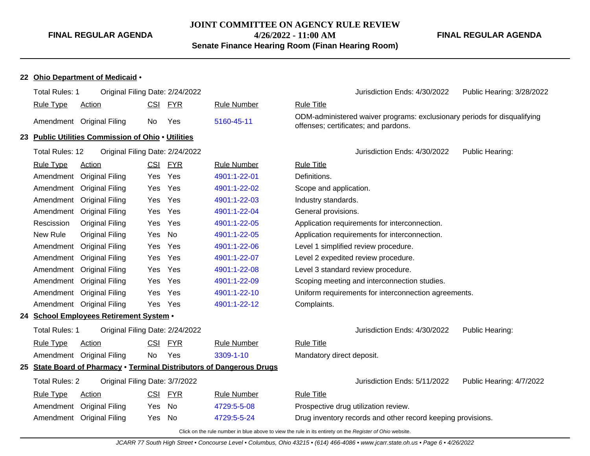**JOINT COMMITTEE ON AGENCY RULE REVIEW 4/26/2022 - 11:00 AM**

**Senate Finance Hearing Room (Finan Hearing Room)**

#### **FINAL REGULAR AGENDA**

#### **22 Ohio Department of Medicaid** •

| Total Rules: 1                                                                                           | Original Filing Date: 2/24/2022                    |            |            |                                                                       | Jurisdiction Ends: 4/30/2022<br>Public Hearing: 3/28/2022                                                        |  |  |  |  |
|----------------------------------------------------------------------------------------------------------|----------------------------------------------------|------------|------------|-----------------------------------------------------------------------|------------------------------------------------------------------------------------------------------------------|--|--|--|--|
| <b>Rule Type</b>                                                                                         | <b>Action</b>                                      | <u>CSI</u> | <b>FYR</b> | <b>Rule Number</b>                                                    | <b>Rule Title</b>                                                                                                |  |  |  |  |
| Amendment                                                                                                | <b>Original Filing</b>                             | No         | Yes        | 5160-45-11                                                            | ODM-administered waiver programs: exclusionary periods for disqualifying<br>offenses; certificates; and pardons. |  |  |  |  |
|                                                                                                          | 23 Public Utilities Commission of Ohio . Utilities |            |            |                                                                       |                                                                                                                  |  |  |  |  |
| <b>Total Rules: 12</b>                                                                                   | Original Filing Date: 2/24/2022                    |            |            |                                                                       | Jurisdiction Ends: 4/30/2022<br>Public Hearing:                                                                  |  |  |  |  |
| <b>Rule Type</b>                                                                                         | <b>Action</b>                                      |            | CSI FYR    | <b>Rule Number</b>                                                    | <b>Rule Title</b>                                                                                                |  |  |  |  |
| Amendment                                                                                                | <b>Original Filing</b>                             | Yes        | Yes        | 4901:1-22-01                                                          | Definitions.                                                                                                     |  |  |  |  |
| Amendment                                                                                                | <b>Original Filing</b>                             | Yes        | Yes        | 4901:1-22-02                                                          | Scope and application.                                                                                           |  |  |  |  |
| Amendment                                                                                                | <b>Original Filing</b>                             | Yes.       | Yes        | 4901:1-22-03                                                          | Industry standards.                                                                                              |  |  |  |  |
| <b>Original Filing</b><br>Yes<br>4901:1-22-04<br>Amendment<br>Yes                                        |                                                    |            |            |                                                                       | General provisions.                                                                                              |  |  |  |  |
| Rescission                                                                                               | <b>Original Filing</b>                             | Yes        | Yes        | 4901:1-22-05                                                          | Application requirements for interconnection.                                                                    |  |  |  |  |
| New Rule                                                                                                 | <b>Original Filing</b>                             | Yes        | No         | 4901:1-22-05                                                          | Application requirements for interconnection.                                                                    |  |  |  |  |
| Amendment                                                                                                | <b>Original Filing</b>                             | Yes        | Yes        | 4901:1-22-06                                                          | Level 1 simplified review procedure.                                                                             |  |  |  |  |
| Amendment                                                                                                | <b>Original Filing</b>                             | Yes.       | Yes        | 4901:1-22-07                                                          | Level 2 expedited review procedure.                                                                              |  |  |  |  |
| Amendment                                                                                                | <b>Original Filing</b>                             | Yes        | Yes        | 4901:1-22-08                                                          | Level 3 standard review procedure.                                                                               |  |  |  |  |
| Amendment                                                                                                | <b>Original Filing</b>                             | Yes        | Yes        | 4901:1-22-09                                                          | Scoping meeting and interconnection studies.                                                                     |  |  |  |  |
| Amendment                                                                                                | <b>Original Filing</b>                             | Yes.       | Yes        | 4901:1-22-10                                                          | Uniform requirements for interconnection agreements.                                                             |  |  |  |  |
| Amendment                                                                                                | <b>Original Filing</b>                             | Yes Yes    |            | 4901:1-22-12                                                          | Complaints.                                                                                                      |  |  |  |  |
|                                                                                                          | 24 School Employees Retirement System .            |            |            |                                                                       |                                                                                                                  |  |  |  |  |
| <b>Total Rules: 1</b>                                                                                    | Original Filing Date: 2/24/2022                    |            |            |                                                                       | Jurisdiction Ends: 4/30/2022<br>Public Hearing:                                                                  |  |  |  |  |
| <b>Rule Type</b>                                                                                         | <b>Action</b>                                      | <b>CSI</b> | <b>FYR</b> | <b>Rule Number</b>                                                    | <b>Rule Title</b>                                                                                                |  |  |  |  |
| Amendment                                                                                                | <b>Original Filing</b>                             | No         | Yes        | 3309-1-10                                                             | Mandatory direct deposit.                                                                                        |  |  |  |  |
|                                                                                                          |                                                    |            |            | 25 State Board of Pharmacy . Terminal Distributors of Dangerous Drugs |                                                                                                                  |  |  |  |  |
| <b>Total Rules: 2</b>                                                                                    | Original Filing Date: 3/7/2022                     |            |            |                                                                       | Jurisdiction Ends: 5/11/2022<br>Public Hearing: 4/7/2022                                                         |  |  |  |  |
| <b>Rule Type</b>                                                                                         | Action                                             | CSI        | <b>FYR</b> | <b>Rule Number</b>                                                    | <b>Rule Title</b>                                                                                                |  |  |  |  |
| Amendment                                                                                                | <b>Original Filing</b>                             | Yes        | No         | 4729:5-5-08                                                           | Prospective drug utilization review.                                                                             |  |  |  |  |
| Amendment                                                                                                | <b>Original Filing</b>                             | Yes        | No         | 4729:5-5-24                                                           | Drug inventory records and other record keeping provisions.                                                      |  |  |  |  |
| Click on the rule number in blue above to view the rule in its entirety on the Register of Ohio website. |                                                    |            |            |                                                                       |                                                                                                                  |  |  |  |  |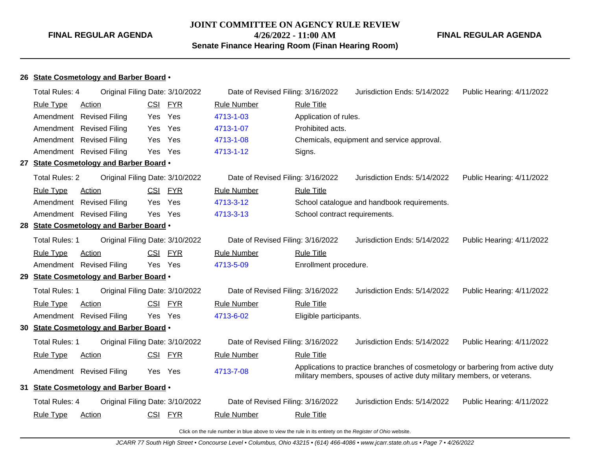# **JOINT COMMITTEE ON AGENCY RULE REVIEW 4/26/2022 - 11:00 AM Senate Finance Hearing Room (Finan Hearing Room)**

**FINAL REGULAR AGENDA**

**26 State Cosmetology and Barber Board** •

| Total Rules: 4        |                                         | Original Filing Date: 3/10/2022 | Date of Revised Filing: 3/16/2022 |                               | Jurisdiction Ends: 5/14/2022                                                                                                                              | Public Hearing: 4/11/2022 |
|-----------------------|-----------------------------------------|---------------------------------|-----------------------------------|-------------------------------|-----------------------------------------------------------------------------------------------------------------------------------------------------------|---------------------------|
| <b>Rule Type</b>      | Action                                  | <b>FYR</b><br><b>CSI</b>        | <b>Rule Number</b>                | <b>Rule Title</b>             |                                                                                                                                                           |                           |
| Amendment             | <b>Revised Filing</b>                   | Yes<br>Yes                      | 4713-1-03                         | Application of rules.         |                                                                                                                                                           |                           |
| Amendment             | <b>Revised Filing</b>                   | Yes<br>Yes                      | 4713-1-07                         | Prohibited acts.              |                                                                                                                                                           |                           |
| Amendment             | <b>Revised Filing</b>                   | Yes<br>Yes                      | 4713-1-08                         |                               | Chemicals, equipment and service approval.                                                                                                                |                           |
|                       | Amendment Revised Filing                | Yes Yes                         | 4713-1-12                         | Signs.                        |                                                                                                                                                           |                           |
|                       | 27 State Cosmetology and Barber Board . |                                 |                                   |                               |                                                                                                                                                           |                           |
| <b>Total Rules: 2</b> |                                         | Original Filing Date: 3/10/2022 | Date of Revised Filing: 3/16/2022 |                               | Jurisdiction Ends: 5/14/2022                                                                                                                              | Public Hearing: 4/11/2022 |
| <b>Rule Type</b>      | Action                                  | <b>CSI</b><br><b>FYR</b>        | <b>Rule Number</b>                | <b>Rule Title</b>             |                                                                                                                                                           |                           |
| Amendment             | <b>Revised Filing</b>                   | Yes<br>Yes                      | 4713-3-12                         |                               | School catalogue and handbook requirements.                                                                                                               |                           |
|                       | Amendment Revised Filing                | Yes Yes                         | 4713-3-13                         | School contract requirements. |                                                                                                                                                           |                           |
|                       | 28 State Cosmetology and Barber Board . |                                 |                                   |                               |                                                                                                                                                           |                           |
| Total Rules: 1        |                                         | Original Filing Date: 3/10/2022 | Date of Revised Filing: 3/16/2022 |                               | Jurisdiction Ends: 5/14/2022                                                                                                                              | Public Hearing: 4/11/2022 |
| <b>Rule Type</b>      | Action                                  | CSI FYR                         | <b>Rule Number</b>                | <b>Rule Title</b>             |                                                                                                                                                           |                           |
|                       | Amendment Revised Filing                | Yes Yes                         | 4713-5-09                         | Enrollment procedure.         |                                                                                                                                                           |                           |
|                       | 29 State Cosmetology and Barber Board . |                                 |                                   |                               |                                                                                                                                                           |                           |
| Total Rules: 1        |                                         | Original Filing Date: 3/10/2022 | Date of Revised Filing: 3/16/2022 |                               | Jurisdiction Ends: 5/14/2022                                                                                                                              | Public Hearing: 4/11/2022 |
| <b>Rule Type</b>      | Action                                  | CSI FYR                         | <b>Rule Number</b>                | <b>Rule Title</b>             |                                                                                                                                                           |                           |
|                       | Amendment Revised Filing                | Yes Yes                         | 4713-6-02                         | Eligible participants.        |                                                                                                                                                           |                           |
|                       | 30 State Cosmetology and Barber Board . |                                 |                                   |                               |                                                                                                                                                           |                           |
| Total Rules: 1        |                                         | Original Filing Date: 3/10/2022 | Date of Revised Filing: 3/16/2022 |                               | Jurisdiction Ends: 5/14/2022                                                                                                                              | Public Hearing: 4/11/2022 |
| <b>Rule Type</b>      | <b>Action</b>                           | <u>CSI</u><br><b>FYR</b>        | <b>Rule Number</b>                | <b>Rule Title</b>             |                                                                                                                                                           |                           |
|                       | Amendment Revised Filing                | Yes Yes                         | 4713-7-08                         |                               | Applications to practice branches of cosmetology or barbering from active duty<br>military members, spouses of active duty military members, or veterans. |                           |
|                       | 31 State Cosmetology and Barber Board . |                                 |                                   |                               |                                                                                                                                                           |                           |
| <b>Total Rules: 4</b> |                                         | Original Filing Date: 3/10/2022 | Date of Revised Filing: 3/16/2022 |                               | Jurisdiction Ends: 5/14/2022                                                                                                                              | Public Hearing: 4/11/2022 |
| <b>Rule Type</b>      | <b>Action</b>                           | CSI FYR                         | <b>Rule Number</b>                | <b>Rule Title</b>             |                                                                                                                                                           |                           |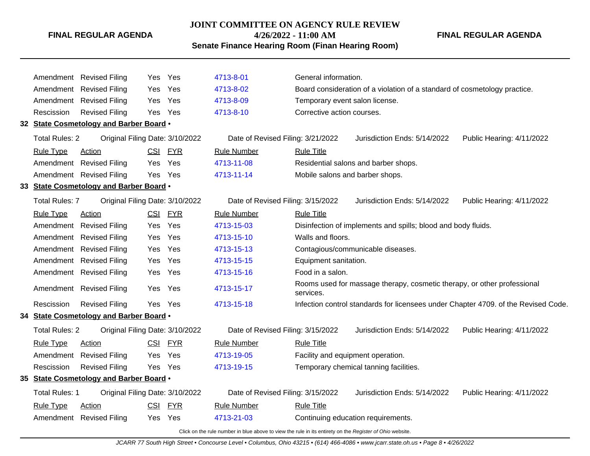# **JOINT COMMITTEE ON AGENCY RULE REVIEW**

**4/26/2022 - 11:00 AM**

# **Senate Finance Hearing Room (Finan Hearing Room)**

**FINAL REGULAR AGENDA**

|                                                                                               |                                                                                                          | Amendment Revised Filing                | Yes        | Yes        | 4713-8-01                           | General information.                                                      |                                                                         |                                                                                    |  |  |
|-----------------------------------------------------------------------------------------------|----------------------------------------------------------------------------------------------------------|-----------------------------------------|------------|------------|-------------------------------------|---------------------------------------------------------------------------|-------------------------------------------------------------------------|------------------------------------------------------------------------------------|--|--|
|                                                                                               | Amendment                                                                                                | <b>Revised Filing</b>                   | Yes        | Yes        | 4713-8-02                           | Board consideration of a violation of a standard of cosmetology practice. |                                                                         |                                                                                    |  |  |
|                                                                                               |                                                                                                          | Amendment Revised Filing                | Yes        | Yes        | 4713-8-09                           | Temporary event salon license.                                            |                                                                         |                                                                                    |  |  |
|                                                                                               | Rescission                                                                                               | <b>Revised Filing</b>                   | Yes        | Yes        | 4713-8-10                           | Corrective action courses.                                                |                                                                         |                                                                                    |  |  |
|                                                                                               |                                                                                                          | 32 State Cosmetology and Barber Board . |            |            |                                     |                                                                           |                                                                         |                                                                                    |  |  |
|                                                                                               | <b>Total Rules: 2</b>                                                                                    | Original Filing Date: 3/10/2022         |            |            | Date of Revised Filing: 3/21/2022   | Jurisdiction Ends: 5/14/2022<br>Public Hearing: 4/11/2022                 |                                                                         |                                                                                    |  |  |
|                                                                                               | <b>Rule Type</b>                                                                                         | <b>Action</b>                           |            | CSI FYR    | <b>Rule Number</b>                  | <b>Rule Title</b>                                                         |                                                                         |                                                                                    |  |  |
|                                                                                               |                                                                                                          | Amendment Revised Filing                | Yes.       | Yes        | 4713-11-08                          |                                                                           | Residential salons and barber shops.                                    |                                                                                    |  |  |
|                                                                                               |                                                                                                          | Amendment Revised Filing                | Yes        | Yes        | 4713-11-14                          | Mobile salons and barber shops.                                           |                                                                         |                                                                                    |  |  |
|                                                                                               |                                                                                                          | 33 State Cosmetology and Barber Board . |            |            |                                     |                                                                           |                                                                         |                                                                                    |  |  |
| <b>Total Rules: 7</b><br>Original Filing Date: 3/10/2022<br>Date of Revised Filing: 3/15/2022 |                                                                                                          |                                         |            |            |                                     |                                                                           | Jurisdiction Ends: 5/14/2022                                            | Public Hearing: 4/11/2022                                                          |  |  |
|                                                                                               | <b>Rule Type</b>                                                                                         | <b>Action</b>                           |            | CSI FYR    | <b>Rule Number</b>                  | <b>Rule Title</b>                                                         |                                                                         |                                                                                    |  |  |
|                                                                                               | Amendment                                                                                                | <b>Revised Filing</b>                   | Yes        | Yes        | 4713-15-03                          | Disinfection of implements and spills; blood and body fluids.             |                                                                         |                                                                                    |  |  |
|                                                                                               |                                                                                                          | Amendment Revised Filing                | Yes        | Yes        | 4713-15-10                          | Walls and floors.                                                         |                                                                         |                                                                                    |  |  |
|                                                                                               |                                                                                                          | Amendment Revised Filing                | Yes        | Yes        | 4713-15-13                          | Contagious/communicable diseases.                                         |                                                                         |                                                                                    |  |  |
|                                                                                               | Amendment                                                                                                | <b>Revised Filing</b>                   | Yes        | Yes        | 4713-15-15<br>Equipment sanitation. |                                                                           |                                                                         |                                                                                    |  |  |
|                                                                                               |                                                                                                          | Amendment Revised Filing                | Yes        | Yes        | 4713-15-16                          | Food in a salon.                                                          |                                                                         |                                                                                    |  |  |
|                                                                                               |                                                                                                          | Amendment Revised Filing                | Yes        | Yes        | 4713-15-17                          | services.                                                                 | Rooms used for massage therapy, cosmetic therapy, or other professional |                                                                                    |  |  |
|                                                                                               | Rescission                                                                                               | <b>Revised Filing</b>                   | Yes        | Yes        | 4713-15-18                          |                                                                           |                                                                         | Infection control standards for licensees under Chapter 4709. of the Revised Code. |  |  |
|                                                                                               |                                                                                                          | 34 State Cosmetology and Barber Board . |            |            |                                     |                                                                           |                                                                         |                                                                                    |  |  |
|                                                                                               | <b>Total Rules: 2</b>                                                                                    | Original Filing Date: 3/10/2022         |            |            | Date of Revised Filing: 3/15/2022   |                                                                           | Jurisdiction Ends: 5/14/2022                                            | Public Hearing: 4/11/2022                                                          |  |  |
|                                                                                               | <b>Rule Type</b>                                                                                         | <b>Action</b>                           |            | CSI FYR    | <b>Rule Number</b>                  | <b>Rule Title</b>                                                         |                                                                         |                                                                                    |  |  |
|                                                                                               |                                                                                                          | Amendment Revised Filing                | Yes.       | Yes        | 4713-19-05                          | Facility and equipment operation.                                         |                                                                         |                                                                                    |  |  |
|                                                                                               | Rescission                                                                                               | <b>Revised Filing</b>                   |            | Yes Yes    | 4713-19-15                          |                                                                           | Temporary chemical tanning facilities.                                  |                                                                                    |  |  |
|                                                                                               |                                                                                                          | 35 State Cosmetology and Barber Board . |            |            |                                     |                                                                           |                                                                         |                                                                                    |  |  |
|                                                                                               | <b>Total Rules: 1</b>                                                                                    | Original Filing Date: 3/10/2022         |            |            | Date of Revised Filing: 3/15/2022   |                                                                           | Jurisdiction Ends: 5/14/2022                                            | Public Hearing: 4/11/2022                                                          |  |  |
|                                                                                               | <b>Rule Type</b>                                                                                         | <b>Action</b>                           | <b>CSI</b> | <b>FYR</b> | <b>Rule Number</b>                  | <b>Rule Title</b>                                                         |                                                                         |                                                                                    |  |  |
|                                                                                               | Amendment                                                                                                | <b>Revised Filing</b>                   | Yes        | Yes        | 4713-21-03                          | Continuing education requirements.                                        |                                                                         |                                                                                    |  |  |
|                                                                                               | Click on the rule number in blue above to view the rule in its entirety on the Register of Ohio website. |                                         |            |            |                                     |                                                                           |                                                                         |                                                                                    |  |  |

JCARR 77 South High Street • Concourse Level • Columbus, Ohio 43215 • (614) 466-4086 • www.jcarr.state.oh.us • Page 8 • 4/26/2022